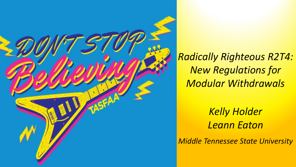

*Radically Righteous R2T4: New Regulations for Modular Withdrawals*

> *Kelly Holder Leann Eaton*

*Middle Tennessee State University*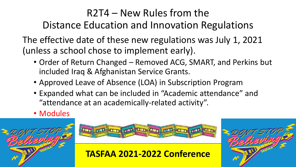### R2T4 – New Rules from the Distance Education and Innovation Regulations

The effective date of these new regulations was July 1, 2021 (unless a school chose to implement early).

- Order of Return Changed Removed ACG, SMART, and Perkins but included Iraq & Afghanistan Service Grants.
- Approved Leave of Absence (LOA) in Subscription Program
- Expanded what can be included in "Academic attendance" and "attendance at an academically-related activity".
- Modules





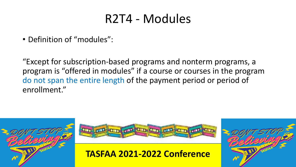## R2T4 - Modules

• Definition of "modules":

"Except for subscription-based programs and nonterm programs, a program is "offered in modules" if a course or courses in the program do not span the entire length of the payment period or period of enrollment."





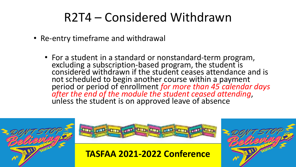# R2T4 – Considered Withdrawn

- Re-entry timeframe and withdrawal
	- For a student in a standard or nonstandard-term program, excluding a subscription-based program, the student is considered withdrawn if the student ceases attendance and is not scheduled to begin another course within a payment<br>period or period of enrollment for more than 45 calendar days period or period of enrollment *for more than 45 calendar days after the end of the module the student ceased attending*, unless the student is on approved leave of absence





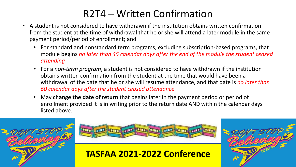### R2T4 – Written Confirmation

- A student is not considered to have withdrawn if the institution obtains written confirmation from the student at the time of withdrawal that he or she will attend a later module in the same payment period/period of enrollment; and
	- For standard and nonstandard term programs, excluding subscription-based programs, that module begins *no later than 45 calendar days after the end of the module the student ceased attending*
	- For a *non-term program*, a student is not considered to have withdrawn if the institution obtains written confirmation from the student at the time that would have been a withdrawal of the date that he or she will resume attendance, and that date is *no later than 60 calendar days after the student ceased attendance*
	- May **change the date of return** that begins later in the payment period or period of enrollment provided it is in writing prior to the return date AND within the calendar days listed above.





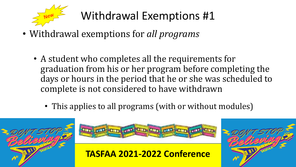

# Withdrawal Exemptions #1

- Withdrawal exemptions for *all programs*
	- A student who completes all the requirements for graduation from his or her program before completing the days or hours in the period that he or she was scheduled to complete is not considered to have withdrawn
		- This applies to all programs (with or without modules)







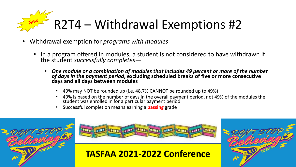# R2T4 – Withdrawal Exemptions #2

- Withdrawal exemption for *programs with modules*
	- In a program offered in modules, a student is not considered to have withdrawn if the student *successfully completes*—
		- *One module or a combination of modules that includes 49 percent or more of the number of days in the payment period,* excluding scheduled breaks of five or more consecutive<br>days and all days between modules
			- 49% may NOT be rounded up (i.e. 48.7% CANNOT be rounded up to 49%)
			- 49% is based on the number of days in the overall payment period, not 49% of the modules the student was enrolled in for a partićular payment periód
			- Successful completion means earning a **passing** grade





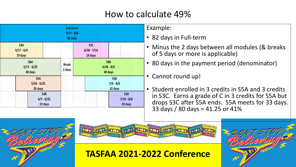### How to calculate 49%

|                                 |                                 |                                |                        | <b>Full-term:</b><br>$5/17 - 8/6$<br>82 days |  |                                              |                               |                                |  |
|---------------------------------|---------------------------------|--------------------------------|------------------------|----------------------------------------------|--|----------------------------------------------|-------------------------------|--------------------------------|--|
|                                 | S3A<br>$5/17 - 6/4$<br>19 days  |                                |                        |                                              |  | S <sub>3</sub> C<br>$6/28 - 7/16$<br>19 days |                               |                                |  |
| S6A<br>$5/17 - 6/25$<br>40 days |                                 |                                | <b>Break</b><br>2 days | S6B<br>$6/28 - 8/6$<br>40 days               |  |                                              |                               |                                |  |
|                                 | S5A<br>$5/24 - 6/25$<br>33 days |                                |                        |                                              |  |                                              | S5B<br>$7/6 - 8/6$<br>32 days |                                |  |
|                                 |                                 | S3B<br>$6/7 - 6/25$<br>19 days |                        |                                              |  |                                              |                               | S3D<br>$7/19 - 8/6$<br>19 days |  |

Example:

- 82 days in Full-term
- Minus the 2 days between all modules (& breaks of 5 days or more is applicable)
- 80 days in the payment period (denominator)

Cannot round up!

• Student enrolled in 3 credits in S5A and 3 credits in S3C. Earns a grade of C in 3 credits for S5A but drops S3C after S5A ends. S5A meets for 33 days. 33 days / 80 days = 41.25 or 41%



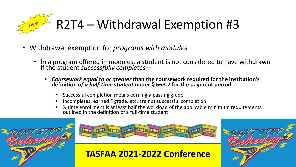

- Withdrawal exemption for *programs with modules*
	- In a program offered in modules, a student is not considered to have withdrawn if the student *successfully completes*—
		- *Coursework equal to or greater* **than the coursework required for the institution's definition** *of a half-time student* **under § 668.2 for the payment period**
			- Successful completion means earning a passing grade
			- Incompletes, earned F grade, etc. are not successful completion
			- It time enrollment is at least half the workload of the applicable minimum requirements outlined in the definition of a full-time student





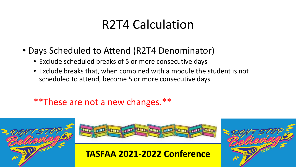# R2T4 Calculation

- Days Scheduled to Attend (R2T4 Denominator)
	- Exclude scheduled breaks of 5 or more consecutive days
	- Exclude breaks that, when combined with a module the student is not scheduled to attend, become 5 or more consecutive days

\*\*These are not a new changes.\*\*





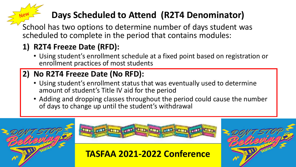### **Days Scheduled to Attend (R2T4 Denominator)**

School has two options to determine number of days student was scheduled to complete in the period that contains modules:

### **1) R2T4 Freeze Date (RFD):**

• Using student's enrollment schedule at a fixed point based on registration or enrollment practices of most students

### **2) No R2T4 Freeze Date (No RFD):**

- Using student's enrollment status that was eventually used to determine amount of student's Title IV aid for the period
- Adding and dropping classes throughout the period could cause the number of days to change up until the student's withdrawal



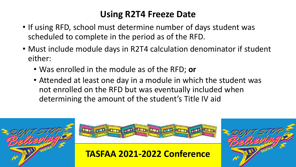### **Using R2T4 Freeze Date**

- If using RFD, school must determine number of days student was scheduled to complete in the period as of the RFD.
- Must include module days in R2T4 calculation denominator if student either:
	- Was enrolled in the module as of the RFD; **or**
	- Attended at least one day in a module in which the student was not enrolled on the RFD but was eventually included when determining the amount of the student's Title IV aid





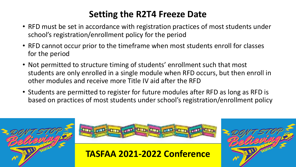### **Setting the R2T4 Freeze Date**

- RFD must be set in accordance with registration practices of most students under school's registration/enrollment policy for the period
- RFD cannot occur prior to the timeframe when most students enroll for classes for the period
- Not permitted to structure timing of students' enrollment such that most students are only enrolled in a single module when RFD occurs, but then enroll in other modules and receive more Title IV aid after the RFD
- Students are permitted to register for future modules after RFD as long as RFD is based on practices of most students under school's registration/enrollment policy





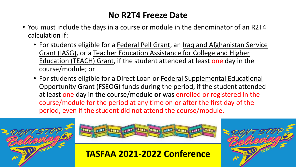#### **No R2T4 Freeze Date**

- You must include the days in a course or module in the denominator of an R2T4 calculation if:
	- For students eligible for a Federal Pell Grant, an Iraq and Afghanistan Service Grant (IASG), or a Teacher Education Assistance for College and Higher Education (TEACH) Grant, if the student attended at least one day in the course/module; or
	- For students eligible for a Direct Loan or Federal Supplemental Educational Opportunity Grant (FSEOG) funds during the period, if the student attended at least one day in the course/module **or** was enrolled or registered in the course/module for the period at any time on or after the first day of the period, even if the student did not attend the course/module.





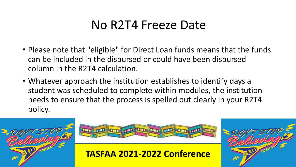# No R2T4 Freeze Date

- Please note that "eligible" for Direct Loan funds means that the funds can be included in the disbursed or could have been disbursed column in the R2T4 calculation.
- Whatever approach the institution establishes to identify days a student was scheduled to complete within modules, the institution needs to ensure that the process is spelled out clearly in your R2T4 policy.





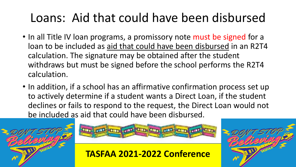# Loans: Aid that could have been disbursed

- In all Title IV loan programs, a promissory note must be signed for a loan to be included as aid that could have been disbursed in an R2T4 calculation. The signature may be obtained after the student withdraws but must be signed before the school performs the R2T4 calculation.
- In addition, if a school has an affirmative confirmation process set up to actively determine if a student wants a Direct Loan, if the student declines or fails to respond to the request, the Direct Loan would not be included as aid that could have been disbursed.





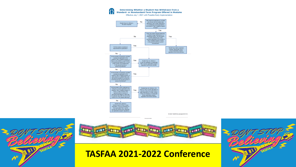

@ 2021 NASFAA (revised 8/31/21)





10:59:45 AM 3/21/202

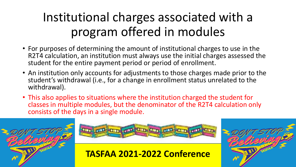# Institutional charges associated with a program offered in modules

- For purposes of determining the amount of institutional charges to use in the R2T4 calculation, an institution must always use the initial charges assessed the student for the entire payment period or period of enrollment.
- An institution only accounts for adjustments to those charges made prior to the student's withdrawal (i.e., for a change in enrollment status unrelated to the withdrawal).
- This also applies to situations where the institution charged the student for classes in multiple modules, but the denominator of the R2T4 calculation only consists of the days in a single module.





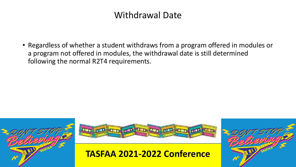#### Withdrawal Date

• Regardless of whether a student withdraws from a program offered in modules or a program not offered in modules, the withdrawal date is still determined following the normal R2T4 requirements.





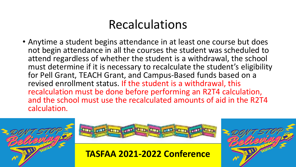# Recalculations

• Anytime a student begins attendance in at least one course but does not begin attendance in all the courses the student was scheduled to attend regardless of whether the student is a withdrawal, the school must determine if it is necessary to recalculate the student's eligibility for Pell Grant, TEACH Grant, and Campus-Based funds based on a revised enrollment status. If the student is a withdrawal, this recalculation must be done before performing an R2T4 calculation, and the school must use the recalculated amounts of aid in the R2T4 calculation.





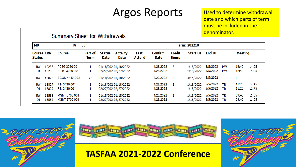### Argos Reports Used to determine withdrawal

date and which parts of term must be included in the denominator.

#### Summary Sheet for Withdrawals

| M <sub>0</sub>                     | N              |                                       |                 |                              | Term: 202210                                 |                       |                        |                               |                        |                      |                        |                |                |
|------------------------------------|----------------|---------------------------------------|-----------------|------------------------------|----------------------------------------------|-----------------------|------------------------|-------------------------------|------------------------|----------------------|------------------------|----------------|----------------|
| <b>Course CRN</b><br><b>Status</b> |                | Course                                | Part of<br>Term | <b>Status</b><br><b>Date</b> | <b>Activity</b><br><b>Date</b>               | Last<br><b>Attend</b> | Confirm<br><b>Date</b> | <b>Credit</b><br><b>Hours</b> | <b>Start DT</b>        | <b>End DT</b>        |                        | <b>Meeting</b> |                |
| <b>RW</b><br>D1                    | 10235<br>10235 | ACTG 3020 001<br>ACTG 3020 001        |                 |                              | 01/18/202 01/18/2022<br>02/27/202 02/27/2022 |                       | 1/26/2022<br>1/26/2022 | 3                             | 1/18/2022<br>1/18/2022 | 5/5/2022<br>5/5/2022 | <b>MW</b><br><b>MW</b> | 12:40<br>12:40 | 14:05<br>14:05 |
| <b>RW</b>                          | 15826          | <b>ECON 4440 D02</b>                  | A2              |                              | 01/18/202 01/18/2022                         |                       | 3/20/2022              | 3                             | 3/14/2022              | 5/5/2022             |                        |                |                |
| <b>RW</b><br>D1                    | 16827<br>16827 | FIN 3430 001<br>FIN 3430 001          |                 |                              | 01/18/202 01/18/2022<br>02/27/202 02/27/2022 |                       | 1/26/2022<br>1/26/2022 | 3                             | 1/18/2022<br>1/18/2022 | 5/5/2022<br>5/5/2022 | <b>TR</b><br><b>TR</b> | 11:20<br>11:20 | 12:45<br>12:45 |
| <b>RW</b><br>D1                    | 13559<br>13559 | <b>MGMT 3705 001</b><br>MGMT 3705 001 |                 |                              | 01/18/202 01/18/2022<br>02/27/202 02/27/2022 |                       | 1/26/2022<br>1/26/2022 | 3                             | 1/18/2022<br>1/18/2022 | 5/5/2022<br>5/5/2022 | <b>TR</b><br><b>TR</b> | 09:40<br>09:40 | 11:05<br>11:05 |





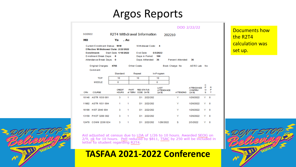### Argos Reports

|                                                                       |                               |              |                                                |          |                                          |                   | DOD 2/22/22                                        |                        |             |  |
|-----------------------------------------------------------------------|-------------------------------|--------------|------------------------------------------------|----------|------------------------------------------|-------------------|----------------------------------------------------|------------------------|-------------|--|
| 3/2/2022                                                              | R2T4 Withdrawal Information   |              | 202210                                         |          |                                          |                   |                                                    |                        |             |  |
| MО                                                                    | Ya<br>, Au                    |              |                                                |          |                                          |                   |                                                    |                        |             |  |
| Current Enrollment Status: WW<br>Effective Withdrawal Date: 2/22/2022 |                               |              | Withdrawal Code: 4                             |          |                                          |                   |                                                    |                        |             |  |
| <b>Enrollment</b>                                                     | Start Date: 1/18/2022         |              | End Date<br>5/5/2022<br>Days in Period:<br>100 |          |                                          |                   |                                                    |                        |             |  |
| Enrollment Break Days: 8                                              |                               |              |                                                |          |                                          |                   |                                                    |                        |             |  |
| Attendance Break Days: 0                                              |                               |              | Days Atttended: 36                             |          |                                          | Percent Attended: | 36                                                 |                        |             |  |
| Original Charges:<br>Comment:                                         | 4766                          | Other Costs: |                                                |          |                                          | Book Charge: No   | AERO Lab No                                        |                        |             |  |
|                                                                       | Standard                      |              | Repeat                                         |          | In-Program                               |                   |                                                    |                        |             |  |
| <b>TOP</b>                                                            | 10                            |              | 10                                             |          | 10                                       |                   |                                                    |                        |             |  |
| <b>MIDDLE</b>                                                         | 0                             |              |                                                |          | 0                                        |                   |                                                    |                        |             |  |
| CRN<br><b>COURSE</b>                                                  | <b>CREDIT</b><br><b>HOURS</b> | <b>PART</b>  | <b>REG STATUS</b><br>of TERM CODE DATE         |          | LAST<br><b>ATTENDANCE</b><br><b>DATE</b> | <b>ATTENDING</b>  | <b>ATTENDANCE</b><br><b>CONFIRM</b><br><b>DATE</b> | с<br>P<br>$\circ$<br>s | R<br>P<br>т |  |
| 10148 ASTR 1030 001                                                   | 3                             | 1            | D1 2/22/202                                    |          |                                          | Y                 | 1/26/2022                                          | Y                      | 0           |  |
| 11982 ASTR 1031 004                                                   | 1                             | 1            | D1 2/22/202                                    |          |                                          | Y                 | 1/26/2022                                          | Y.                     | $\Omega$    |  |
| 16199 HIST 2040 004                                                   | 3                             | 1            | D1 2/22/202                                    |          |                                          | Y                 | 1/26/2022                                          | Y                      | $\mathbf 0$ |  |
| 13159 PHOT 3200 002                                                   | 3                             | 1            | D1 2/22/202                                    |          |                                          | Y                 | 1/26/2022                                          | Y.                     | $\Omega$    |  |
| 12478 COMM 2200 024                                                   | 3                             | 1            | D1.                                            | 2/22/202 | 1/26/2022                                | s                 | 2/3/2022                                           | Y                      | $\Omega$    |  |

Documents how the R2T4 calculation was set up.



Aid adjusted at census due to LDA of 1/26 to 10 hours. Awarded SEOG on 2/9, ok for 10 hours. Pell reduced by \$811, TSAC by 250 will be included in letter to student regarding R2T4.

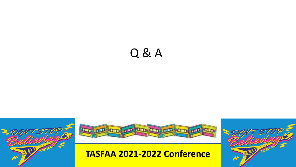# Q & A